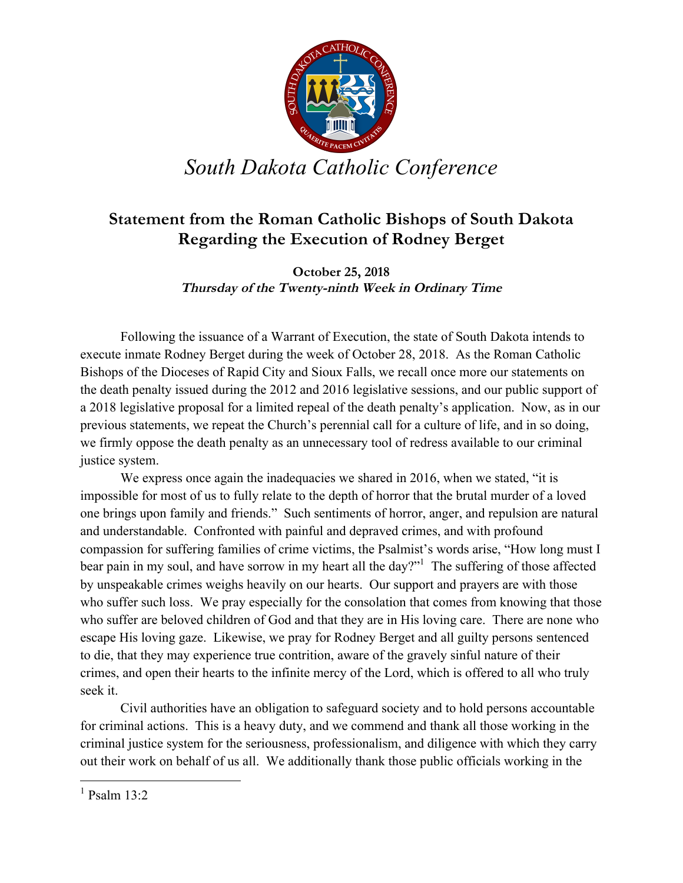

## *South Dakota Catholic Conference*

## **Statement from the Roman Catholic Bishops of South Dakota Regarding the Execution of Rodney Berget**

**October 25, 2018 Thursday of the Twenty-ninth Week in Ordinary Time**

Following the issuance of a Warrant of Execution, the state of South Dakota intends to execute inmate Rodney Berget during the week of October 28, 2018. As the Roman Catholic Bishops of the Dioceses of Rapid City and Sioux Falls, we recall once more our statements on the death penalty issued during the 2012 and 2016 legislative sessions, and our public support of a 2018 legislative proposal for a limited repeal of the death penalty's application. Now, as in our previous statements, we repeat the Church's perennial call for a culture of life, and in so doing, we firmly oppose the death penalty as an unnecessary tool of redress available to our criminal justice system.

We express once again the inadequacies we shared in 2016, when we stated, "it is impossible for most of us to fully relate to the depth of horror that the brutal murder of a loved one brings upon family and friends." Such sentiments of horror, anger, and repulsion are natural and understandable. Confronted with painful and depraved crimes, and with profound compassion for suffering families of crime victims, the Psalmist's words arise, "How long must I bear pain in my soul, and have sorrow in my heart all the day?"<sup>1</sup> The suffering of those affected by unspeakable crimes weighs heavily on our hearts. Our support and prayers are with those who suffer such loss. We pray especially for the consolation that comes from knowing that those who suffer are beloved children of God and that they are in His loving care. There are none who escape His loving gaze. Likewise, we pray for Rodney Berget and all guilty persons sentenced to die, that they may experience true contrition, aware of the gravely sinful nature of their crimes, and open their hearts to the infinite mercy of the Lord, which is offered to all who truly seek it.

Civil authorities have an obligation to safeguard society and to hold persons accountable for criminal actions. This is a heavy duty, and we commend and thank all those working in the criminal justice system for the seriousness, professionalism, and diligence with which they carry out their work on behalf of us all. We additionally thank those public officials working in the

 $1$  Psalm  $13.2$